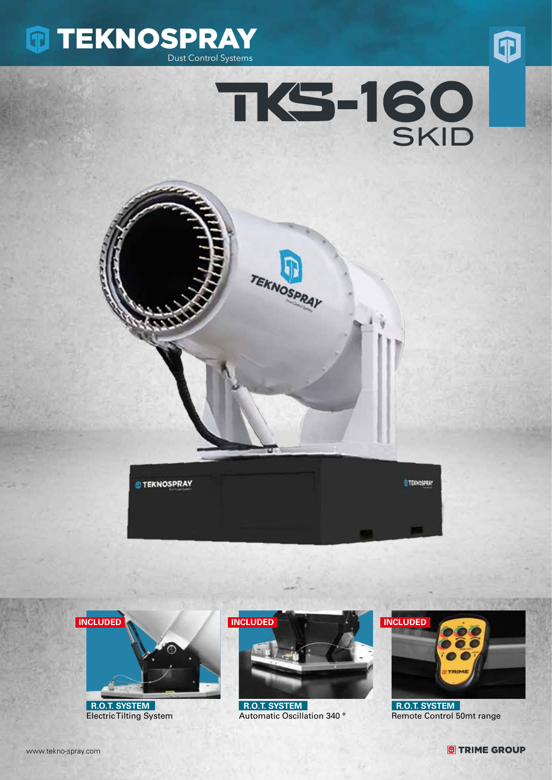









 **R.O.T. SYSTEM** Electric Tilting System



 **R.O.T. SYSTEM** Automatic Oscillation 340 °



 **R.O.T. SYSTEM** Remote Control 50mt range